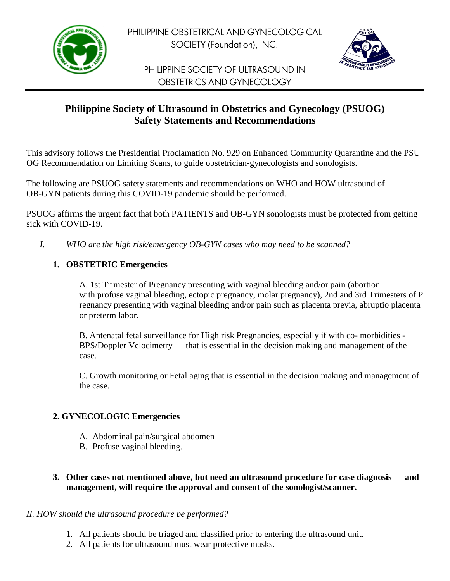

PHILIPPINE OBSTETRICAL AND GYNECOLOGICAL SOCIETY (Foundation), INC.



PHILIPPINE SOCIETY OF ULTRASOUND IN OBSTETRICS AND GYNECOLOGY

# **Philippine Society of Ultrasound in Obstetrics and Gynecology (PSUOG) Safety Statements and Recommendations**

This advisory follows the Presidential Proclamation No. 929 on Enhanced Community Quarantine and the PSU OG Recommendation on Limiting Scans, to guide obstetrician-gynecologists and sonologists.

The following are PSUOG safety statements and recommendations on WHO and HOW ultrasound of OB-GYN patients during this COVID-19 pandemic should be performed.

PSUOG affirms the urgent fact that both PATIENTS and OB-GYN sonologists must be protected from getting sick with COVID-19.

*I. WHO are the high risk/emergency OB-GYN cases who may need to be scanned?*

## **1. OBSTETRIC Emergencies**

A. 1st Trimester of Pregnancy presenting with vaginal bleeding and/or pain (abortion with profuse vaginal bleeding, ectopic pregnancy, molar pregnancy), 2nd and 3rd Trimesters of P regnancy presenting with vaginal bleeding and/or pain such as placenta previa, abruptio placenta or preterm labor.

B. Antenatal fetal surveillance for High risk Pregnancies, especially if with co- morbidities - BPS/Doppler Velocimetry — that is essential in the decision making and management of the case.

C. Growth monitoring or Fetal aging that is essential in the decision making and management of the case.

### **2. GYNECOLOGIC Emergencies**

- A. Abdominal pain/surgical abdomen
- B. Profuse vaginal bleeding.
- **3. Other cases not mentioned above, but need an ultrasound procedure for case diagnosis and management, will require the approval and consent of the sonologist/scanner.**

### *II. HOW should the ultrasound procedure be performed?*

- 1. All patients should be triaged and classified prior to entering the ultrasound unit.
- 2. All patients for ultrasound must wear protective masks.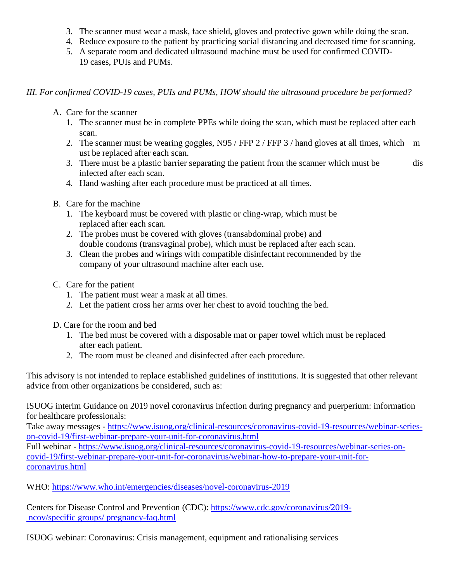- 3. The scanner must wear a mask, face shield, gloves and protective gown while doing the scan.
- 4. Reduce exposure to the patient by practicing social distancing and decreased time for scanning.
- 5. A separate room and dedicated ultrasound machine must be used for confirmed COVID-19 cases, PUIs and PUMs.

#### *III. For confirmed COVID-19 cases, PUIs and PUMs, HOW should the ultrasound procedure be performed?*

- A. Care for the scanner
	- 1. The scanner must be in complete PPEs while doing the scan, which must be replaced after each scan.
	- 2. The scanner must be wearing goggles, N95 / FFP 2 / FFP 3 / hand gloves at all times, which m ust be replaced after each scan.
	- 3. There must be a plastic barrier separating the patient from the scanner which must be dis infected after each scan.
	- 4. Hand washing after each procedure must be practiced at all times.
- B. Care for the machine
	- 1. The keyboard must be covered with plastic or cling-wrap, which must be replaced after each scan.
	- 2. The probes must be covered with gloves (transabdominal probe) and double condoms (transvaginal probe), which must be replaced after each scan.
	- 3. Clean the probes and wirings with compatible disinfectant recommended by the company of your ultrasound machine after each use.
- C. Care for the patient
	- 1. The patient must wear a mask at all times.
	- 2. Let the patient cross her arms over her chest to avoid touching the bed.
- D. Care for the room and bed
	- 1. The bed must be covered with a disposable mat or paper towel which must be replaced after each patient.
	- 2. The room must be cleaned and disinfected after each procedure.

This advisory is not intended to replace established guidelines of institutions. It is suggested that other relevant advice from other organizations be considered, such as:

ISUOG interim Guidance on 2019 novel coronavirus infection during pregnancy and puerperium: information for healthcare professionals:

Take away messages - [https://www.isuog.org/clinical-resources/coronavirus-covid-19-resources/webinar-series](https://www.isuog.org/clinical-resources/coronavirus-covid-19-resources/webinar-series-on-covid-19/first-webinar-prepare-your-unit-for-coronavirus.html)[on-covid-19/first-webinar-prepare-your-unit-for-coronavirus.html](https://www.isuog.org/clinical-resources/coronavirus-covid-19-resources/webinar-series-on-covid-19/first-webinar-prepare-your-unit-for-coronavirus.html)

Full webinar - [https://www.isuog.org/clinical-resources/coronavirus-covid-19-resources/webinar-series-on](https://www.isuog.org/clinical-resources/coronavirus-covid-19-resources/webinar-series-on-covid-19/first-webinar-prepare-your-unit-for-coronavirus/webinar-how-to-prepare-your-unit-for-coronavirus.html)[covid-19/first-webinar-prepare-your-unit-for-coronavirus/webinar-how-to-prepare-your-unit-for](https://www.isuog.org/clinical-resources/coronavirus-covid-19-resources/webinar-series-on-covid-19/first-webinar-prepare-your-unit-for-coronavirus/webinar-how-to-prepare-your-unit-for-coronavirus.html)[coronavirus.html](https://www.isuog.org/clinical-resources/coronavirus-covid-19-resources/webinar-series-on-covid-19/first-webinar-prepare-your-unit-for-coronavirus/webinar-how-to-prepare-your-unit-for-coronavirus.html)

WHO:<https://www.who.int/emergencies/diseases/novel-coronavirus-2019>

Centers for Disease Control and Prevention (CDC): [https://www.cdc.gov/coronavirus/2019](https://www.cdc.gov/coronavirus/2019- ncov/specific groups/%20pregnancy-faq.html) ncov/specific [groups/ pregnancy-faq.html](https://www.cdc.gov/coronavirus/2019- ncov/specific groups/%20pregnancy-faq.html)

ISUOG webinar: Coronavirus: Crisis management, equipment and rationalising services